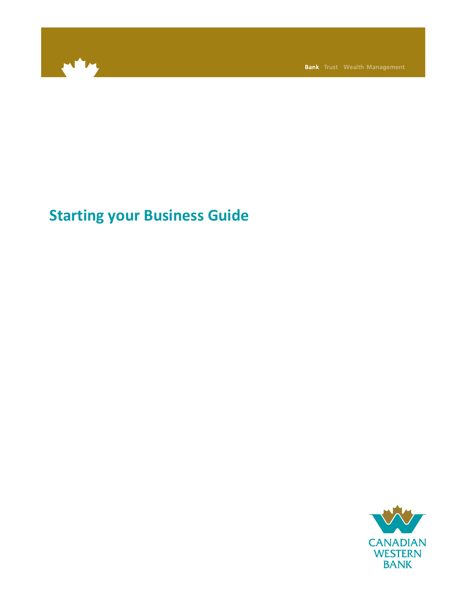

**Bank** Trust Wealth Management

# **Starting your Business Guide**

**CANADIAN WESTERN BANK**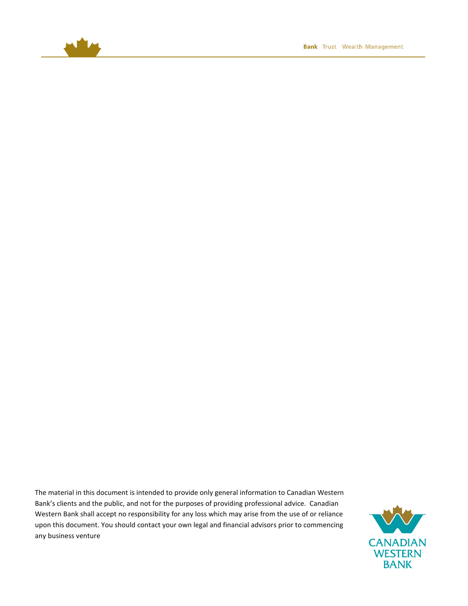

The material in this document is intended to provide only general information to Canadian Western Bank's clients and the public, and not for the purposes of providing professional advice. Canadian Western Bank shall accept no responsibility for any loss which may arise from the use of or reliance upon this document. You should contact your own legal and financial advisors prior to commencing any business venture

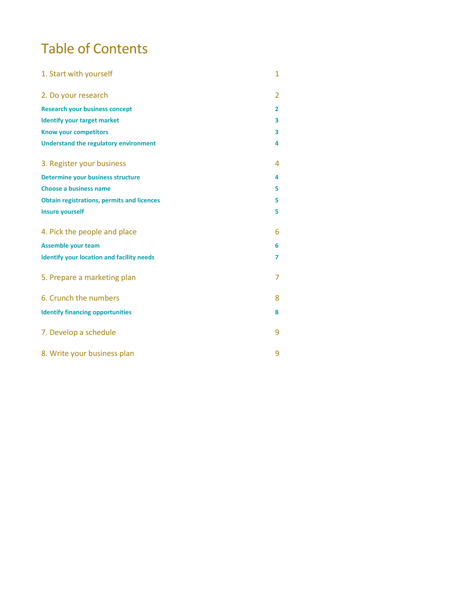# Table of Contents

| 1. Start with yourself                            | 1 |
|---------------------------------------------------|---|
| 2. Do your research                               | 2 |
| <b>Research your business concept</b>             | 2 |
| <b>Identify your target market</b>                | 3 |
| <b>Know your competitors</b>                      | 3 |
| <b>Understand the regulatory environment</b>      | 4 |
| 3. Register your business                         | 4 |
| <b>Determine your business structure</b>          | 4 |
| <b>Choose a business name</b>                     | 5 |
| <b>Obtain registrations, permits and licences</b> | 5 |
| <b>Insure yourself</b>                            | 5 |
| 4. Pick the people and place                      | 6 |
| <b>Assemble your team</b>                         | 6 |
| <b>Identify your location and facility needs</b>  | 7 |
| 5. Prepare a marketing plan                       | 7 |
| 6. Crunch the numbers                             | 8 |
| <b>Identify financing opportunities</b>           | 8 |
| 7. Develop a schedule                             | 9 |
| 8. Write your business plan                       | 9 |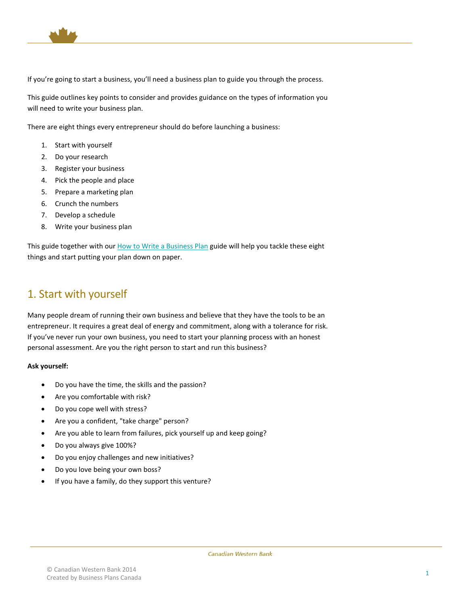

If you're going to start a business, you'll need a business plan to guide you through the process.

This guide outlines key points to consider and provides guidance on the types of information you will need to write your business plan.

There are eight things every entrepreneur should do before launching a business:

- 1. Start with yourself
- 2. Do your research
- 3. Register your business
- 4. Pick the people and place
- 5. Prepare a marketing plan
- 6. Crunch the numbers
- 7. Develop a schedule
- 8. Write your business plan

This guide together with ou[r How to Write a Business Plan](http://cwbank.cwb.local/%7E/media/cwb/documents/how%20to%20write%20a%20business%20plan.ashx) guide will help you tackle these eight things and start putting your plan down on paper.

## <span id="page-3-0"></span>1. Start with yourself

Many people dream of running their own business and believe that they have the tools to be an entrepreneur. It requires a great deal of energy and commitment, along with a tolerance for risk. If you've never run your own business, you need to start your planning process with an honest personal assessment. Are you the right person to start and run this business?

#### **Ask yourself:**

- Do you have the time, the skills and the passion?
- Are you comfortable with risk?
- Do you cope well with stress?
- Are you a confident, "take charge" person?
- Are you able to learn from failures, pick yourself up and keep going?
- Do you always give 100%?
- Do you enjoy challenges and new initiatives?
- Do you love being your own boss?
- If you have a family, do they support this venture?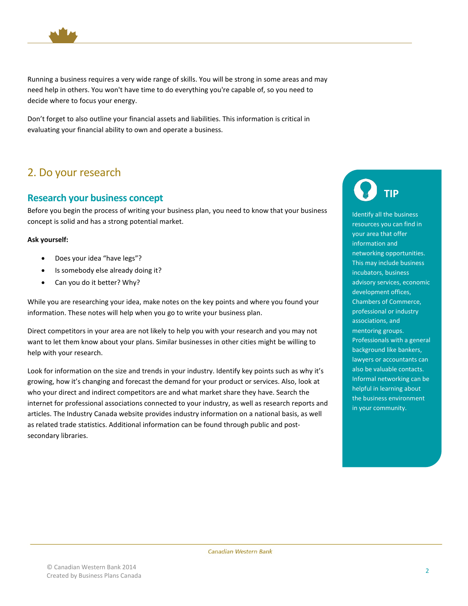

Running a business requires a very wide range of skills. You will be strong in some areas and may need help in others. You won't have time to do everything you're capable of, so you need to decide where to focus your energy.

Don't forget to also outline your financial assets and liabilities. This information is critical in evaluating your financial ability to own and operate a business.

# <span id="page-4-0"></span>2. Do your research

### <span id="page-4-1"></span>**Research your business concept**

Before you begin the process of writing your business plan, you need to know that your business concept is solid and has a strong potential market.

#### **Ask yourself:**

- Does your idea "have legs"?
- Is somebody else already doing it?
- Can you do it better? Why?

While you are researching your idea, make notes on the key points and where you found your information. These notes will help when you go to write your business plan.

Direct competitors in your area are not likely to help you with your research and you may not want to let them know about your plans. Similar businesses in other cities might be willing to help with your research.

Look for information on the size and trends in your industry. Identify key points such as why it's growing, how it's changing and forecast the demand for your product or services. Also, look at who your direct and indirect competitors are and what market share they have. Search the internet for professional associations connected to your industry, as well as research reports and articles. The Industry Canada website provides industry information on a national basis, as well as related trade statistics. Additional information can be found through public and postsecondary libraries.

**TIP**

Identify all the business resources you can find in your area that offer information and networking opportunities. This may include business incubators, business advisory services, economic development offices, Chambers of Commerce, professional or industry associations, and mentoring groups. Professionals with a general background like bankers, lawyers or accountants can also be valuable contacts. Informal networking can be helpful in learning about the business environment in your community.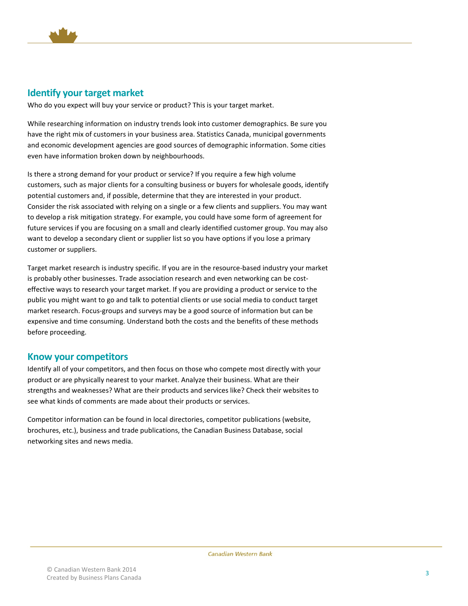

### <span id="page-5-0"></span>**Identify your target market**

Who do you expect will buy your service or product? This is your target market.

While researching information on industry trends look into customer demographics. Be sure you have the right mix of customers in your business area. Statistics Canada, municipal governments and economic development agencies are good sources of demographic information. Some cities even have information broken down by neighbourhoods.

Is there a strong demand for your product or service? If you require a few high volume customers, such as major clients for a consulting business or buyers for wholesale goods, identify potential customers and, if possible, determine that they are interested in your product. Consider the risk associated with relying on a single or a few clients and suppliers. You may want to develop a risk mitigation strategy. For example, you could have some form of agreement for future services if you are focusing on a small and clearly identified customer group. You may also want to develop a secondary client or supplier list so you have options if you lose a primary customer or suppliers.

Target market research is industry specific. If you are in the resource-based industry your market is probably other businesses. Trade association research and even networking can be costeffective ways to research your target market. If you are providing a product or service to the public you might want to go and talk to potential clients or use social media to conduct target market research. Focus-groups and surveys may be a good source of information but can be expensive and time consuming. Understand both the costs and the benefits of these methods before proceeding.

### <span id="page-5-1"></span>**Know your competitors**

Identify all of your competitors, and then focus on those who compete most directly with your product or are physically nearest to your market. Analyze their business. What are their strengths and weaknesses? What are their products and services like? Check their websites to see what kinds of comments are made about their products or services.

Competitor information can be found in local directories, competitor publications (website, brochures, etc.), business and trade publications, the Canadian Business Database, social networking sites and news media.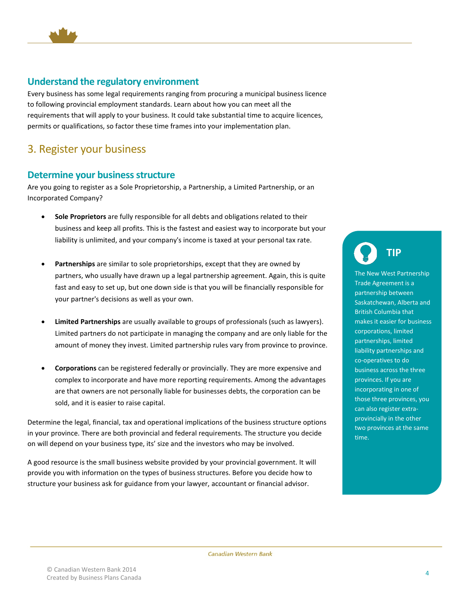

### <span id="page-6-0"></span>**Understand the regulatory environment**

Every business has some legal requirements ranging from procuring a municipal business licence to following provincial employment standards. Learn about how you can meet all the requirements that will apply to your business. It could take substantial time to acquire licences, permits or qualifications, so factor these time frames into your implementation plan.

## <span id="page-6-1"></span>3. Register your business

### <span id="page-6-2"></span>**Determine your business structure**

Are you going to register as a Sole Proprietorship, a Partnership, a Limited Partnership, or an Incorporated Company?

- **Sole Proprietors** are fully responsible for all debts and obligations related to their business and keep all profits. This is the fastest and easiest way to incorporate but your liability is unlimited, and your company's income is taxed at your personal tax rate.
- Partnerships are similar to sole proprietorships, except that they are owned by partners, who usually have drawn up a legal partnership agreement. Again, this is quite fast and easy to set up, but one down side is that you will be financially responsible for your partner's decisions as well as your own.
- **Limited Partnerships** are usually available to groups of professionals (such as lawyers). Limited partners do not participate in managing the company and are only liable for the amount of money they invest. Limited partnership rules vary from province to province.
- **Corporations** can be registered federally or provincially. They are more expensive and complex to incorporate and have more reporting requirements. Among the advantages are that owners are not personally liable for businesses debts, the corporation can be sold, and it is easier to raise capital.

Determine the legal, financial, tax and operational implications of the business structure options in your province. There are both provincial and federal requirements. The structure you decide on will depend on your business type, its' size and the investors who may be involved.

A good resource is the small business website provided by your provincial government. It will provide you with information on the types of business structures. Before you decide how to structure your business ask for guidance from your lawyer, accountant or financial advisor.

**TIP**

The New West Partnership Trade Agreement is a partnership between Saskatchewan, Alberta and British Columbia that makes it easier for business corporations, limited partnerships, limited liability partnerships and co-operatives to do business across the three provinces. If you are incorporating in one of those three provinces, you can also register extraprovincially in the other two provinces at the same time.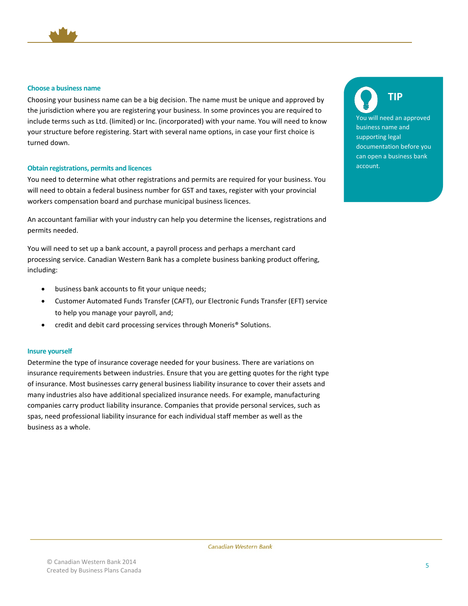

#### <span id="page-7-0"></span>**Choose a business name**

Choosing your business name can be a big decision. The name must be unique and approved by the jurisdiction where you are registering your business. In some provinces you are required to include terms such as Ltd. (limited) or Inc. (incorporated) with your name. You will need to know your structure before registering. Start with several name options, in case your first choice is turned down.

#### <span id="page-7-1"></span>**Obtain registrations, permits and licences**

You need to determine what other registrations and permits are required for your business. You will need to obtain a federal business number for GST and taxes, register with your provincial workers compensation board and purchase municipal business licences.

An accountant familiar with your industry can help you determine the licenses, registrations and permits needed.

You will need to set up a bank account, a payroll process and perhaps a merchant card processing service. Canadian Western Bank has a complete business banking product offering, including:

- business bank accounts to fit your unique needs;
- Customer Automated Funds Transfer (CAFT), our Electronic Funds Transfer (EFT) service to help you manage your payroll, and;
- credit and debit card processing services through Moneris® Solutions.

#### <span id="page-7-2"></span>**Insure yourself**

Determine the type of insurance coverage needed for your business. There are variations on insurance requirements between industries. Ensure that you are getting quotes for the right type of insurance. Most businesses carry general business liability insurance to cover their assets and many industries also have additional specialized insurance needs. For example, manufacturing companies carry product liability insurance. Companies that provide personal services, such as spas, need professional liability insurance for each individual staff member as well as the business as a whole.

**TIP**

You will need an approved business name and supporting legal documentation before you can open a business bank account.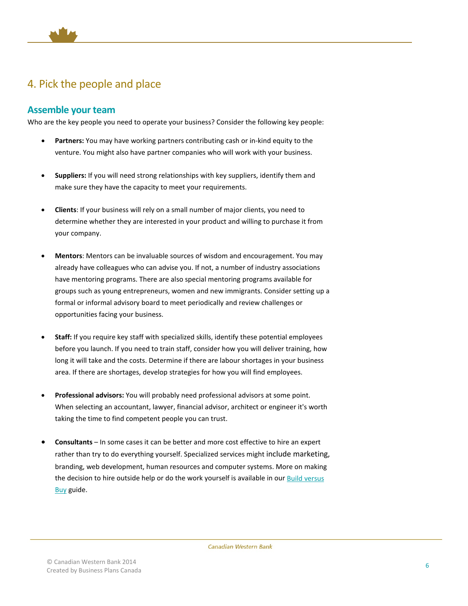

# <span id="page-8-0"></span>4. Pick the people and place

### <span id="page-8-1"></span>**Assemble your team**

Who are the key people you need to operate your business? Consider the following key people:

- **Partners:** You may have working partners contributing cash or in-kind equity to the venture. You might also have partner companies who will work with your business.
- **Suppliers:** If you will need strong relationships with key suppliers, identify them and make sure they have the capacity to meet your requirements.
- **Clients**: If your business will rely on a small number of major clients, you need to determine whether they are interested in your product and willing to purchase it from your company.
- **Mentors**: Mentors can be invaluable sources of wisdom and encouragement. You may already have colleagues who can advise you. If not, a number of industry associations have mentoring programs. There are also special mentoring programs available for groups such as young entrepreneurs, women and new immigrants. Consider setting up a formal or informal advisory board to meet periodically and review challenges or opportunities facing your business.
- **Staff:** If you require key staff with specialized skills, identify these potential employees before you launch. If you need to train staff, consider how you will deliver training, how long it will take and the costs. Determine if there are labour shortages in your business area. If there are shortages, develop strategies for how you will find employees.
- **Professional advisors:** You will probably need professional advisors at some point. When selecting an accountant, lawyer, financial advisor, architect or engineer it's worth taking the time to find competent people you can trust.
- **Consultants**  In some cases it can be better and more cost effective to hire an expert rather than try to do everything yourself. Specialized services might include marketing, branding, web development, human resources and computer systems. More on making the decision to hire outside help or do the work yourself is available in ou[r Build versus](http://cwbank.cwb.local/%7E/media/cwb/documents/build%20versus%20buy.ashx)  **[Buy](http://cwbank.cwb.local/%7E/media/cwb/documents/build%20versus%20buy.ashx)** guide.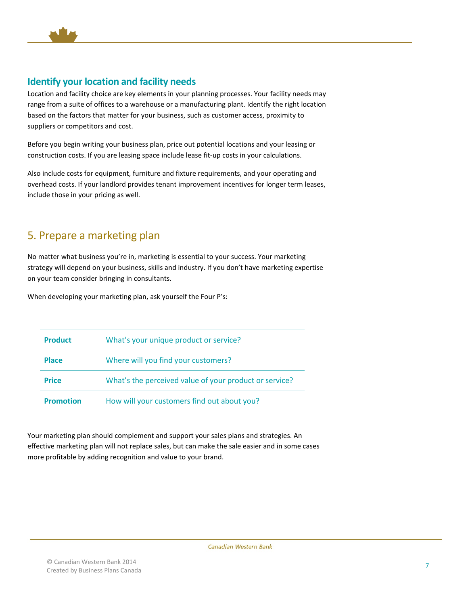

### <span id="page-9-0"></span>**Identify your location and facility needs**

Location and facility choice are key elements in your planning processes. Your facility needs may range from a suite of offices to a warehouse or a manufacturing plant. Identify the right location based on the factors that matter for your business, such as customer access, proximity to suppliers or competitors and cost.

Before you begin writing your business plan, price out potential locations and your leasing or construction costs. If you are leasing space include lease fit-up costs in your calculations.

Also include costs for equipment, furniture and fixture requirements, and your operating and overhead costs. If your landlord provides tenant improvement incentives for longer term leases, include those in your pricing as well.

# <span id="page-9-1"></span>5. Prepare a marketing plan

No matter what business you're in, marketing is essential to your success. Your marketing strategy will depend on your business, skills and industry. If you don't have marketing expertise on your team consider bringing in consultants.

When developing your marketing plan, ask yourself the Four P's:

| <b>Product</b>   | What's your unique product or service?                 |
|------------------|--------------------------------------------------------|
| <b>Place</b>     | Where will you find your customers?                    |
| <b>Price</b>     | What's the perceived value of your product or service? |
| <b>Promotion</b> | How will your customers find out about you?            |

Your marketing plan should complement and support your sales plans and strategies. An effective marketing plan will not replace sales, but can make the sale easier and in some cases more profitable by adding recognition and value to your brand.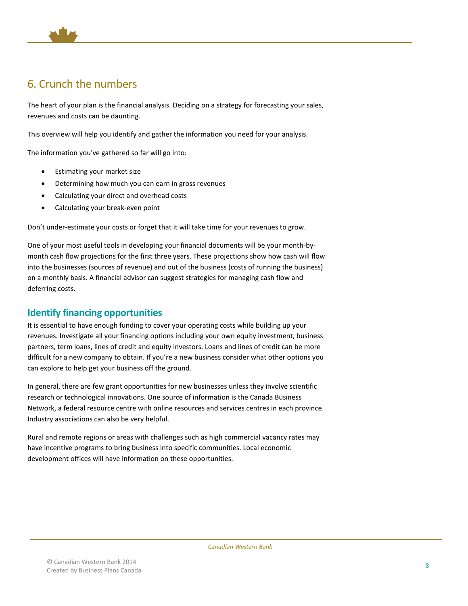

# <span id="page-10-0"></span>6. Crunch the numbers

The heart of your plan is the financial analysis. Deciding on a strategy for forecasting your sales, revenues and costs can be daunting.

This overview will help you identify and gather the information you need for your analysis.

The information you've gathered so far will go into:

- Estimating your market size
- Determining how much you can earn in gross revenues
- Calculating your direct and overhead costs
- Calculating your break-even point

Don't under-estimate your costs or forget that it will take time for your revenues to grow.

One of your most useful tools in developing your financial documents will be your month-bymonth cash flow projections for the first three years. These projections show how cash will flow into the businesses (sources of revenue) and out of the business (costs of running the business) on a monthly basis. A financial advisor can suggest strategies for managing cash flow and deferring costs.

### <span id="page-10-1"></span>**Identify financing opportunities**

It is essential to have enough funding to cover your operating costs while building up your revenues. Investigate all your financing options including your own equity investment, business partners, term loans, lines of credit and equity investors. Loans and lines of credit can be more difficult for a new company to obtain. If you're a new business consider what other options you can explore to help get your business off the ground.

In general, there are few grant opportunities for new businesses unless they involve scientific research or technological innovations. One source of information is the Canada Business Network, a federal resource centre with online resources and services centres in each province. Industry associations can also be very helpful.

Rural and remote regions or areas with challenges such as high commercial vacancy rates may have incentive programs to bring business into specific communities. Local economic development offices will have information on these opportunities.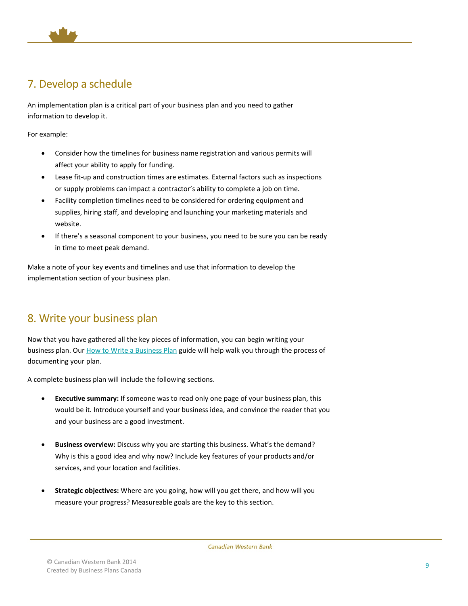

# <span id="page-11-0"></span>7. Develop a schedule

An implementation plan is a critical part of your business plan and you need to gather information to develop it.

For example:

- Consider how the timelines for business name registration and various permits will affect your ability to apply for funding.
- Lease fit-up and construction times are estimates. External factors such as inspections or supply problems can impact a contractor's ability to complete a job on time.
- Facility completion timelines need to be considered for ordering equipment and supplies, hiring staff, and developing and launching your marketing materials and website.
- If there's a seasonal component to your business, you need to be sure you can be ready in time to meet peak demand.

Make a note of your key events and timelines and use that information to develop the implementation section of your business plan.

# <span id="page-11-1"></span>8. Write your business plan

Now that you have gathered all the key pieces of information, you can begin writing your business plan. Our [How to Write a Business Plan](http://cwbank.cwb.local/%7E/media/cwb/documents/how%20to%20write%20a%20business%20plan.ashx) guide will help walk you through the process of documenting your plan.

A complete business plan will include the following sections.

- **Executive summary:** If someone was to read only one page of your business plan, this would be it. Introduce yourself and your business idea, and convince the reader that you and your business are a good investment.
- **Business overview:** Discuss why you are starting this business. What's the demand? Why is this a good idea and why now? Include key features of your products and/or services, and your location and facilities.
- **Strategic objectives:** Where are you going, how will you get there, and how will you measure your progress? Measureable goals are the key to this section.